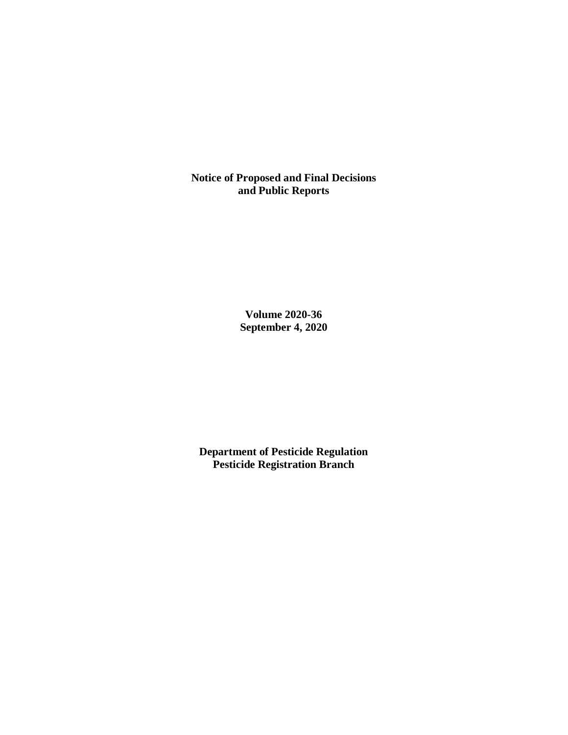**Notice of Proposed and Final Decisions and Public Reports**

> **Volume 2020-36 September 4, 2020**

**Department of Pesticide Regulation Pesticide Registration Branch**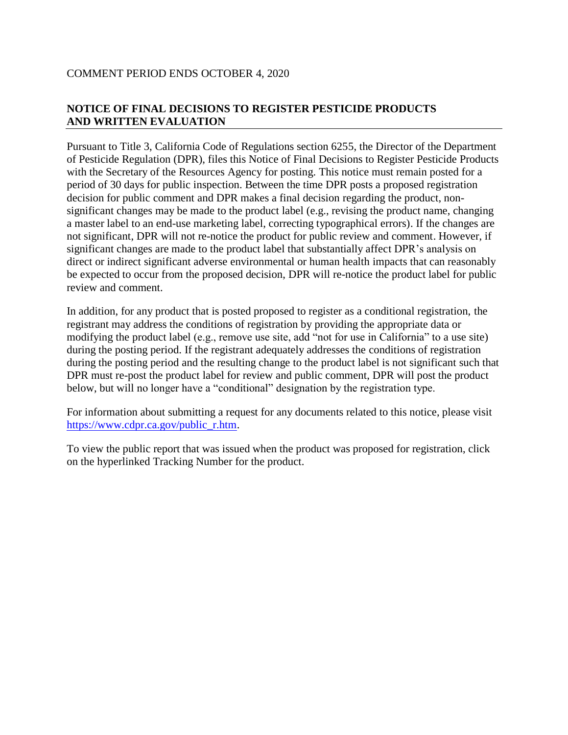# **NOTICE OF FINAL DECISIONS TO REGISTER PESTICIDE PRODUCTS AND WRITTEN EVALUATION**

Pursuant to Title 3, California Code of Regulations section 6255, the Director of the Department of Pesticide Regulation (DPR), files this Notice of Final Decisions to Register Pesticide Products with the Secretary of the Resources Agency for posting. This notice must remain posted for a period of 30 days for public inspection. Between the time DPR posts a proposed registration decision for public comment and DPR makes a final decision regarding the product, nonsignificant changes may be made to the product label (e.g., revising the product name, changing a master label to an end-use marketing label, correcting typographical errors). If the changes are not significant, DPR will not re-notice the product for public review and comment. However, if significant changes are made to the product label that substantially affect DPR's analysis on direct or indirect significant adverse environmental or human health impacts that can reasonably be expected to occur from the proposed decision, DPR will re-notice the product label for public review and comment.

In addition, for any product that is posted proposed to register as a conditional registration, the registrant may address the conditions of registration by providing the appropriate data or modifying the product label (e.g., remove use site, add "not for use in California" to a use site) during the posting period. If the registrant adequately addresses the conditions of registration during the posting period and the resulting change to the product label is not significant such that DPR must re-post the product label for review and public comment, DPR will post the product below, but will no longer have a "conditional" designation by the registration type.

For information about submitting a request for any documents related to this notice, please visit [https://www.cdpr.ca.gov/public\\_r.htm.](https://www.cdpr.ca.gov/public_r.htm)

To view the public report that was issued when the product was proposed for registration, click on the hyperlinked Tracking Number for the product.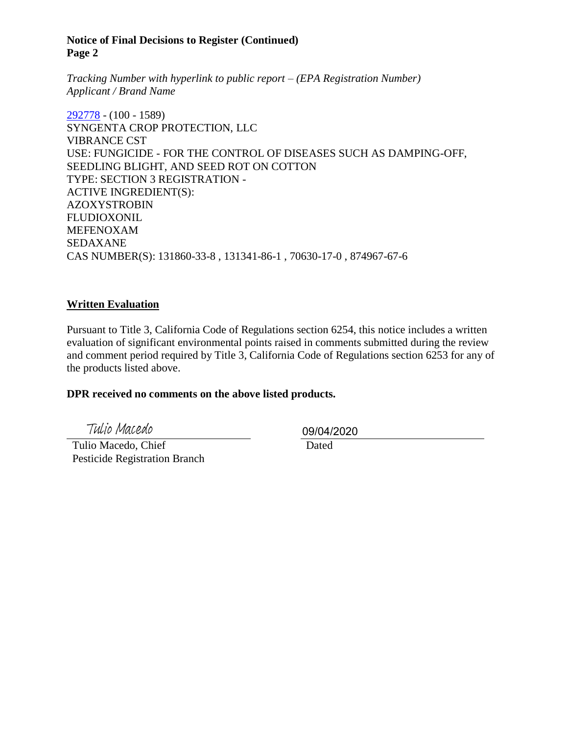#### **Notice of Final Decisions to Register (Continued) Page 2**

*Tracking Number with hyperlink to public report – (EPA Registration Number) Applicant / Brand Name*

[292778](https://www.cdpr.ca.gov/docs/registration/nod/public_reports/292778.pdf) - (100 - 1589) SYNGENTA CROP PROTECTION, LLC VIBRANCE CST USE: FUNGICIDE - FOR THE CONTROL OF DISEASES SUCH AS DAMPING-OFF, SEEDLING BLIGHT, AND SEED ROT ON COTTON TYPE: SECTION 3 REGISTRATION - ACTIVE INGREDIENT(S): AZOXYSTROBIN FLUDIOXONIL MEFENOXAM SEDAXANE CAS NUMBER(S): 131860-33-8 , 131341-86-1 , 70630-17-0 , 874967-67-6

### **Written Evaluation**

Pursuant to Title 3, California Code of Regulations section 6254, this notice includes a written evaluation of significant environmental points raised in comments submitted during the review and comment period required by Title 3, California Code of Regulations section 6253 for any of the products listed above.

#### **DPR received no comments on the above listed products.**

Tulio Macedo

 Tulio Macedo, Chief Pesticide Registration Branch 09/04/2020

Dated